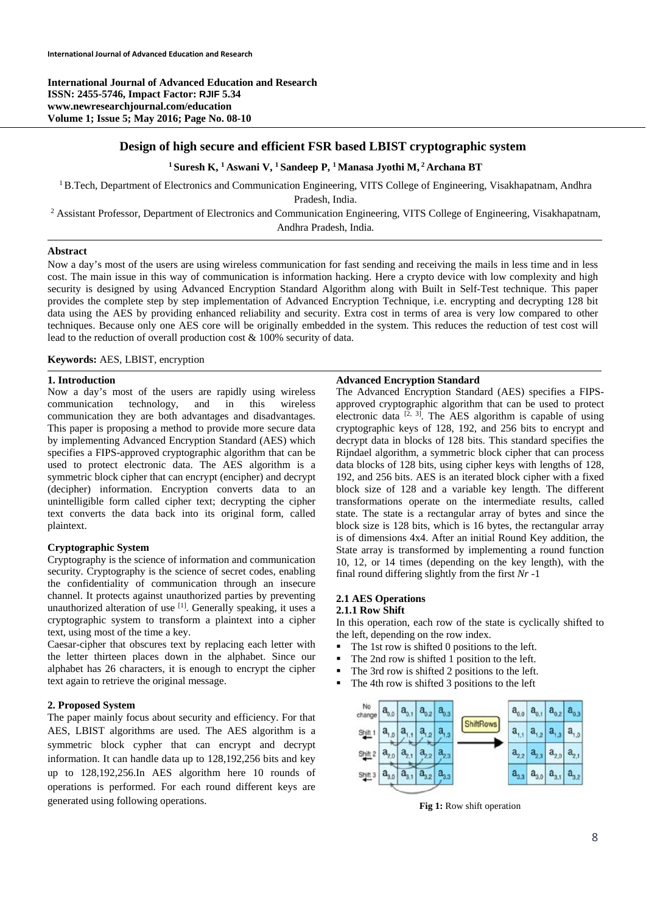**International Journal of Advanced Education and Research ISSN: 2455-5746, Impact Factor: RJIF 5.34 www.newresearchjournal.com/education Volume 1; Issue 5; May 2016; Page No. 08-10** 

## **Design of high secure and efficient FSR based LBIST cryptographic system**

## **1 Suresh K, 1 Aswani V, 1 Sandeep P, 1 Manasa Jyothi M, 2 Archana BT**

 $1B$ . Tech, Department of Electronics and Communication Engineering, VITS College of Engineering, Visakhapatnam, Andhra

Pradesh, India.<br><sup>2</sup> Assistant Professor, Department of Electronics and Communication Engineering, VITS College of Engineering, Visakhapatnam, Andhra Pradesh, India.

#### **Abstract**

Now a day's most of the users are using wireless communication for fast sending and receiving the mails in less time and in less cost. The main issue in this way of communication is information hacking. Here a crypto device with low complexity and high security is designed by using Advanced Encryption Standard Algorithm along with Built in Self-Test technique. This paper provides the complete step by step implementation of Advanced Encryption Technique, i.e. encrypting and decrypting 128 bit data using the AES by providing enhanced reliability and security. Extra cost in terms of area is very low compared to other techniques. Because only one AES core will be originally embedded in the system. This reduces the reduction of test cost will lead to the reduction of overall production cost & 100% security of data.

#### **Keywords:** AES, LBIST, encryption

## **1. Introduction**

Now a day's most of the users are rapidly using wireless communication technology, and in this wireless communication they are both advantages and disadvantages. This paper is proposing a method to provide more secure data by implementing Advanced Encryption Standard (AES) which specifies a FIPS-approved cryptographic algorithm that can be used to protect electronic data. The AES algorithm is a symmetric block cipher that can encrypt (encipher) and decrypt (decipher) information. Encryption converts data to an unintelligible form called cipher text; decrypting the cipher text converts the data back into its original form, called plaintext.

## **Cryptographic System**

Cryptography is the science of information and communication security*.* Cryptography is the science of secret codes, enabling the confidentiality of communication through an insecure channel. It protects against unauthorized parties by preventing unauthorized alteration of use [1]. Generally speaking, it uses a cryptographic system to transform a plaintext into a cipher text, using most of the time a key.

Caesar-cipher that obscures text by replacing each letter with the letter thirteen places down in the alphabet. Since our alphabet has 26 characters, it is enough to encrypt the cipher text again to retrieve the original message.

## **2. Proposed System**

The paper mainly focus about security and efficiency. For that AES, LBIST algorithms are used. The AES algorithm is a symmetric block cypher that can encrypt and decrypt information. It can handle data up to 128,192,256 bits and key up to 128,192,256.In AES algorithm here 10 rounds of operations is performed. For each round different keys are generated using following operations.

#### **Advanced Encryption Standard**

The Advanced Encryption Standard (AES) specifies a FIPSapproved cryptographic algorithm that can be used to protect electronic data  $\left[2, 3\right]$ . The AES algorithm is capable of using cryptographic keys of 128, 192, and 256 bits to encrypt and decrypt data in blocks of 128 bits. This standard specifies the Rijndael algorithm, a symmetric block cipher that can process data blocks of 128 bits, using cipher keys with lengths of 128, 192, and 256 bits. AES is an iterated block cipher with a fixed block size of 128 and a variable key length. The different transformations operate on the intermediate results, called state. The state is a rectangular array of bytes and since the block size is 128 bits, which is 16 bytes, the rectangular array is of dimensions 4x4. After an initial Round Key addition, the State array is transformed by implementing a round function 10, 12, or 14 times (depending on the key length), with the final round differing slightly from the first *Nr* -1

#### **2.1 AES Operations 2.1.1 Row Shift**

In this operation, each row of the state is cyclically shifted to the left, depending on the row index.

- The 1st row is shifted 0 positions to the left.<br>The 2nd row is shifted 1 position to the left.
- The 2nd row is shifted 1 position to the left.
- The 3rd row is shifted 2 positions to the left.
- The 4th row is shifted 3 positions to the left



**Fig 1:** Row shift operation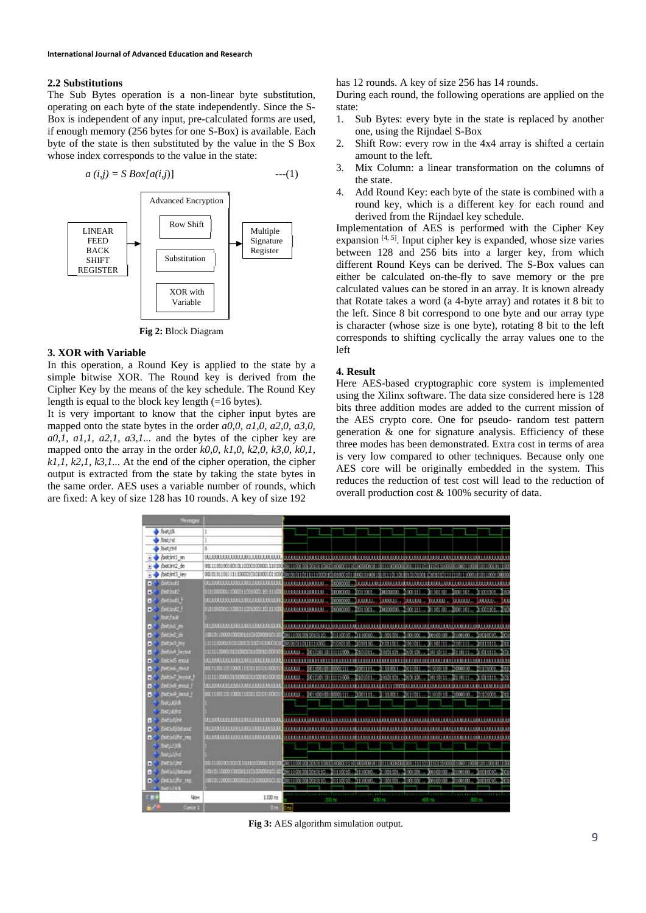#### **2.2 Substitutions**

The Sub Bytes operation is a non-linear byte substitution, operating on each byte of the state independently. Since the S-Box is independent of any input, pre-calculated forms are used, if enough memory (256 bytes for one S-Box) is available. Each byte of the state is then substituted by the value in the S Box whose index corresponds to the value in the state:

$$
a(i,j) = S \, Box[a(i,j)] \qquad \qquad ---(1)
$$



**Fig 2:** Block Diagram

#### **3. XOR with Variable**

In this operation, a Round Key is applied to the state by a simple bitwise XOR. The Round key is derived from the Cipher Key by the means of the key schedule. The Round Key length is equal to the block key length  $(=16$  bytes).

It is very important to know that the cipher input bytes are mapped onto the state bytes in the order *a0,0, a1,0, a2,0, a3,0, a0,1, a1,1, a2,1, a3,1...* and the bytes of the cipher key are mapped onto the array in the order *k0,0, k1,0, k2,0, k3,0, k0,1, k1,1, k2,1, k3,1...* At the end of the cipher operation, the cipher output is extracted from the state by taking the state bytes in the same order. AES uses a variable number of rounds, which are fixed: A key of size 128 has 10 rounds. A key of size 192

has 12 rounds. A key of size 256 has 14 rounds.

During each round, the following operations are applied on the state:

- 1. Sub Bytes: every byte in the state is replaced by another one, using the Rijndael S-Box
- 2. Shift Row: every row in the 4x4 array is shifted a certain amount to the left.
- 3. Mix Column: a linear transformation on the columns of the state.
- 4. Add Round Key: each byte of the state is combined with a round key, which is a different key for each round and derived from the Rijndael key schedule.

Implementation of AES is performed with the Cipher Key expansion  $[4, 5]$ . Input cipher key is expanded, whose size varies between 128 and 256 bits into a larger key, from which different Round Keys can be derived. The S-Box values can either be calculated on-the-fly to save memory or the pre calculated values can be stored in an array. It is known already that Rotate takes a word (a 4-byte array) and rotates it 8 bit to the left. Since 8 bit correspond to one byte and our array type is character (whose size is one byte), rotating 8 bit to the left corresponds to shifting cyclically the array values one to the left

## **4. Result**

Here AES-based cryptographic core system is implemented using the Xilinx software. The data size considered here is 128 bits three addition modes are added to the current mission of the AES crypto core. One for pseudo- random test pattern generation & one for signature analysis. Efficiency of these three modes has been demonstrated. Extra cost in terms of area is very low compared to other techniques. Because only one AES core will be originally embedded in the system. This reduces the reduction of test cost will lead to the reduction of overall production cost & 100% security of data.

|              | Messages                                                                        |                                                      |                            |                                            |                                    |                                                                                                                       |                 |                |                   |                 |                   |   |
|--------------|---------------------------------------------------------------------------------|------------------------------------------------------|----------------------------|--------------------------------------------|------------------------------------|-----------------------------------------------------------------------------------------------------------------------|-----------------|----------------|-------------------|-----------------|-------------------|---|
|              | bist of                                                                         | 1                                                    |                            |                                            |                                    |                                                                                                                       |                 |                |                   |                 |                   |   |
|              | bist.ist                                                                        | ı                                                    |                            |                                            |                                    |                                                                                                                       |                 |                |                   |                 |                   |   |
|              | bist (th)                                                                       | a                                                    |                            |                                            |                                    |                                                                                                                       |                 |                |                   |                 |                   |   |
|              | pistint1 en                                                                     | <b>ULERRILLI REEFEREE LULEREE LE</b>                 |                            |                                            |                                    | <u>IN A 400 A BHACA AN ISBIDIR AILEAN AN AILEAN AGACH AILEAN AN AILEAN AILEAN AILEAN AN AILEAN AILEAN AILEAN AN A</u> |                 |                |                   |                 |                   |   |
|              | $\rightarrow$ (bscirt2 de                                                       | 0011100000000101100000000001110000                   |                            |                                            |                                    |                                                                                                                       |                 |                |                   |                 |                   |   |
|              | bistint3 ley                                                                    |                                                      |                            |                                            |                                    |                                                                                                                       |                 |                |                   |                 | te sono omo       |   |
|              | <b>B</b> bistinuti                                                              |                                                      | <b>boommune</b>            |                                            | momme.                             |                                                                                                                       |                 |                |                   |                 |                   |   |
| $+5.4$       | fost cut2                                                                       | 010100000011000001100000011011100                    | 111111111111111            |                                            | mmmm                               | <b>TOTHER</b>                                                                                                         | hmmm            | 2001111        | 01101101          | 30001101        | To support office |   |
|              | <b>B</b> <sup>2</sup> lost cut1                                                 | ,,,,,,,,,,,,,,,,,,,,,,,,,,,,,                        | <b>TELEFORE CONTRACTOR</b> |                                            |                                    | <b>TOTORIA LIBERTA LIBBOAR DELLER DELLER DELLER LIBERT</b>                                                            |                 |                |                   |                 |                   |   |
|              | $B^{\prime\prime}$ (bota $B$ )                                                  | 010100000111000011000000110111000                    |                            |                                            |                                    | ELLEBELLEBELLE ENCODER. TO1:001. INDOODO. 2000:111 IO:101:01: 200:101 21:001:00.                                      |                 |                |                   |                 |                   |   |
|              | <b>BistFast</b>                                                                 |                                                      |                            |                                            |                                    |                                                                                                                       |                 |                |                   |                 |                   |   |
|              | $\blacksquare$ fost will en                                                     | ,,,,,,,,,,,,,,,,,,,,,,,,,,,,,                        |                            |                                            |                                    |                                                                                                                       |                 |                |                   |                 |                   |   |
|              | <b>B</b> Costan do                                                              | 100100110000100000011000000000001019                 |                            |                                            | 301110010. 31110010.               |                                                                                                                       | $311001001$ .   | 200001         | 200100108 2100100 |                 |                   |   |
|              | <b>D</b> <sup>4</sup> (bstw3 key                                                | 1111100001010100010100010100010                      | 000000101111110000         |                                            | <b><i>SIGNORIA</i> RADIO BELLE</b> |                                                                                                                       | 01011011 201011 |                | 301101111-0101111 |                 | 310111111         |   |
| -54          | <b>DISCINA REYOUT</b>                                                           | 1111110000010100002030001010001                      | 00.000                     | 001010110111111000                         |                                    | Estósos t                                                                                                             |                 | teche sche     |                   |                 |                   |   |
|              | foscials erout                                                                  |                                                      | 18888888                   |                                            |                                    |                                                                                                                       |                 |                |                   |                 |                   |   |
|              | <b>B</b> paties and                                                             | 001110061011000111101101010100                       | <b>BROOK</b>               | inas socialist                             |                                    |                                                                                                                       |                 | 3311011        |                   |                 |                   |   |
| $\mathbf{e}$ | both levot                                                                      | 1111110000101010001510001010001                      | <b>THEFT</b>               | 001010110111111000                         |                                    | 10101011                                                                                                              |                 | Ed 61.101      |                   |                 | 11011111          |   |
| $\pm 5.$     | but iv8 most                                                                    | <b>BIBBBBBBBBBBBBBBBBBBBBBB</b>                      | 11111111                   |                                            |                                    |                                                                                                                       |                 |                |                   |                 |                   |   |
| -54          | <b>Doctive</b> deput                                                            | 000 11000 1011000111000110101010001                  |                            | <b>ALL A RAIL OF \$1011001031000001111</b> |                                    | 3901111                                                                                                               | 11110011.       | <b>RESIDEN</b> | 11010110          | <b>Stratoro</b> | <b>MINICOL</b>    |   |
|              | beloid                                                                          |                                                      |                            |                                            |                                    |                                                                                                                       |                 |                |                   |                 |                   |   |
|              | <b>Dist Librar</b>                                                              |                                                      |                            |                                            |                                    |                                                                                                                       |                 |                |                   |                 |                   |   |
| $-500$       | <b><i>fastiutiling</i></b>                                                      | ,,,,,,,,,,,,,,,,,,,,,,,,,,,,                         | ,,,,,,,,,,,,,,,            |                                            |                                    |                                                                                                                       |                 |                |                   |                 |                   |   |
|              | <b>fostulidation</b>                                                            | ,,,,,,,,,,,,,,,,,,,,,,,,,,,,                         |                            |                                            |                                    |                                                                                                                       |                 |                |                   |                 |                   |   |
|              | fostjulijas veg                                                                 | <b><i>ATABAKANIANIA KARABAKANIANIA (K.K.) 11</i></b> |                            | <b><i>BERRIERESSERIES</i></b>              |                                    |                                                                                                                       |                 |                |                   |                 |                   |   |
|              | <b>S</b> Ibstilli                                                               |                                                      |                            |                                            |                                    |                                                                                                                       |                 |                |                   |                 |                   |   |
|              | <b>Betuble</b>                                                                  |                                                      |                            |                                            |                                    |                                                                                                                       |                 |                |                   |                 |                   |   |
|              | $\bullet$ $\bullet$ $\bullet$ $\bullet$ $\bullet$ $\bullet$ $\bullet$ $\bullet$ | 0011100000000001010000000000110000                   |                            |                                            |                                    |                                                                                                                       |                 |                |                   |                 |                   |   |
|              | (bstall@daout                                                                   | 10010110000103000111000000001010                     | 811001001                  |                                            | tra a rementa                      | 3111010                                                                                                               |                 | 2000001        | 00109103          | 100100          |                   |   |
| -56          | <b>Documents</b>                                                                | 100101100001000001110000000010110                    | 01100100                   |                                            |                                    |                                                                                                                       |                 | mm             | nn ton            | <b>FRIDA</b>    | amarse            | m |
|              | <b>Shielold</b>                                                                 |                                                      |                            |                                            |                                    |                                                                                                                       |                 |                |                   |                 |                   |   |
|              | <b>Tables</b>                                                                   | 1190 ts                                              |                            |                                            | 20 S                               | 400 rs                                                                                                                |                 |                | $+00$ ms          |                 |                   |   |

**Fig 3:** AES algorithm simulation output.